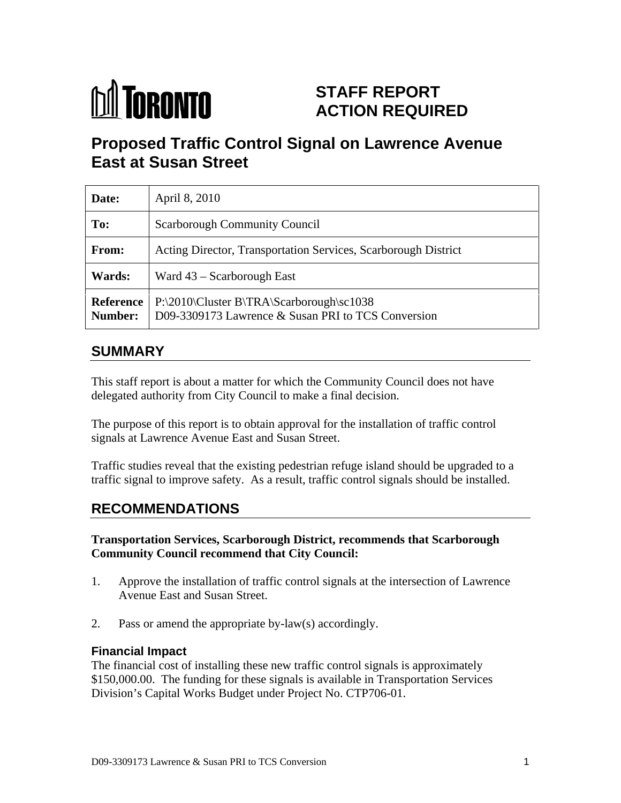

# **STAFF REPORT ACTION REQUIRED**

# **Proposed Traffic Control Signal on Lawrence Avenue East at Susan Street**

| Date:         | April 8, 2010                                                                                                             |
|---------------|---------------------------------------------------------------------------------------------------------------------------|
| To:           | Scarborough Community Council                                                                                             |
| From:         | Acting Director, Transportation Services, Scarborough District                                                            |
| <b>Wards:</b> | Ward $43$ – Scarborough East                                                                                              |
|               | Reference   P:\2010\Cluster B\TRA\Scarborough\sc1038<br><b>Number:</b> D09-3309173 Lawrence & Susan PRI to TCS Conversion |

# **SUMMARY**

This staff report is about a matter for which the Community Council does not have delegated authority from City Council to make a final decision.

The purpose of this report is to obtain approval for the installation of traffic control signals at Lawrence Avenue East and Susan Street.

Traffic studies reveal that the existing pedestrian refuge island should be upgraded to a traffic signal to improve safety. As a result, traffic control signals should be installed.

## **RECOMMENDATIONS**

#### **Transportation Services, Scarborough District, recommends that Scarborough Community Council recommend that City Council:**

- 1. Approve the installation of traffic control signals at the intersection of Lawrence Avenue East and Susan Street.
- 2. Pass or amend the appropriate by-law(s) accordingly.

#### **Financial Impact**

The financial cost of installing these new traffic control signals is approximately \$150,000.00. The funding for these signals is available in Transportation Services Division's Capital Works Budget under Project No. CTP706-01.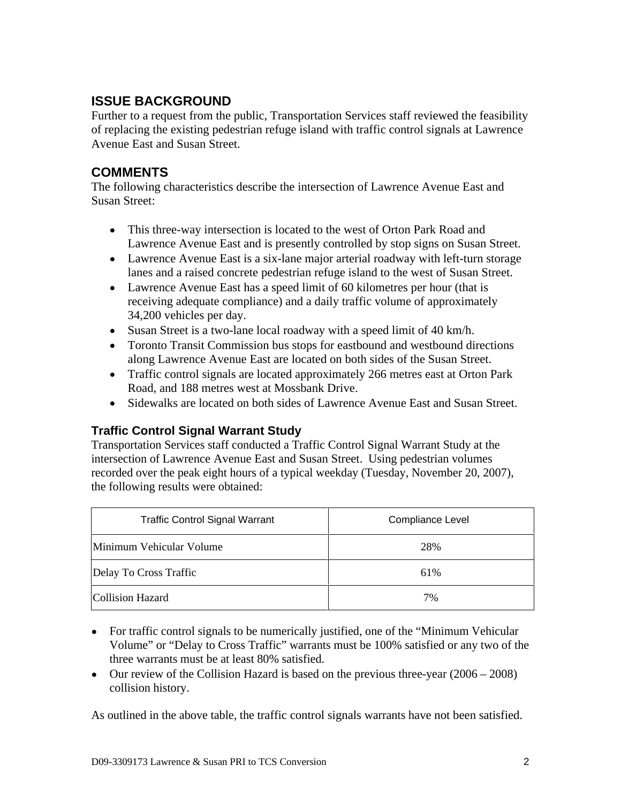## **ISSUE BACKGROUND**

Further to a request from the public, Transportation Services staff reviewed the feasibility of replacing the existing pedestrian refuge island with traffic control signals at Lawrence Avenue East and Susan Street.

#### **COMMENTS**

The following characteristics describe the intersection of Lawrence Avenue East and Susan Street:

- This three-way intersection is located to the west of Orton Park Road and Lawrence Avenue East and is presently controlled by stop signs on Susan Street.
- Lawrence Avenue East is a six-lane major arterial roadway with left-turn storage lanes and a raised concrete pedestrian refuge island to the west of Susan Street.
- Lawrence Avenue East has a speed limit of 60 kilometres per hour (that is receiving adequate compliance) and a daily traffic volume of approximately 34,200 vehicles per day.
- Susan Street is a two-lane local roadway with a speed limit of 40 km/h.
- Toronto Transit Commission bus stops for eastbound and westbound directions along Lawrence Avenue East are located on both sides of the Susan Street.
- Traffic control signals are located approximately 266 metres east at Orton Park Road, and 188 metres west at Mossbank Drive.<br>
• Sidewalks are located on both sides of Lawrence Avenue East and Susan Street.
- 

## **Traffic Control Signal Warrant Study**

Transportation Services staff conducted a Traffic Control Signal Warrant Study at the intersection of Lawrence Avenue East and Susan Street. Using pedestrian volumes recorded over the peak eight hours of a typical weekday (Tuesday, November 20, 2007), the following results were obtained:

| <b>Traffic Control Signal Warrant</b> | <b>Compliance Level</b> |
|---------------------------------------|-------------------------|
| Minimum Vehicular Volume              |                         |
| Delay To Cross Traffic                |                         |
| Collision Hazard                      |                         |

- For traffic control signals to be numerically justified, one of the "Minimum Vehicular Volume" or "Delay to Cross Traffic" warrants must be 100% satisfied or any two of the three warrants must be at least 80% satisfied.
- Our review of the Collision Hazard is based on the previous three-year (2006 2008) collision history.

As outlined in the above table, the traffic control signals warrants have not been satisfied.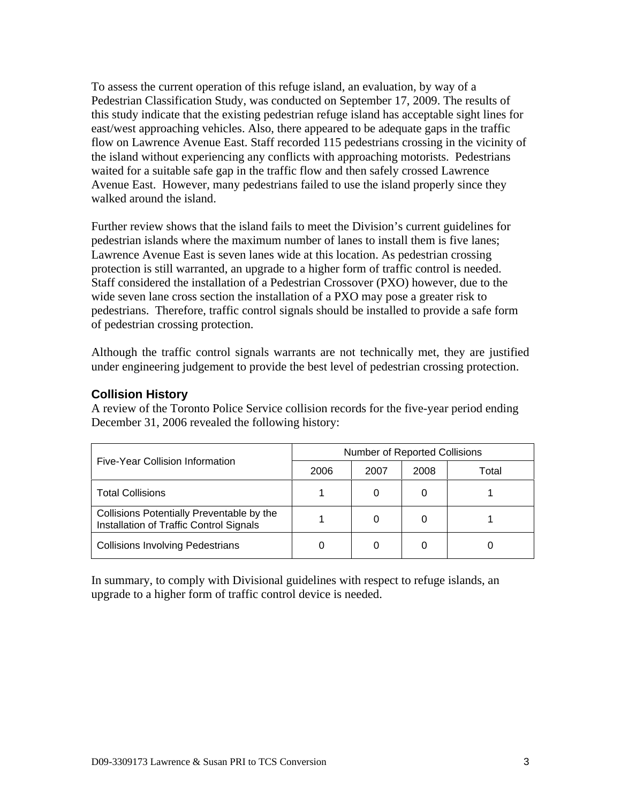To assess the current operation of this refuge island, an evaluation, by way of a Pedestrian Classification Study, was conducted on September 17, 2009. The results of this study indicate that the existing pedestrian refuge island has acceptable sight lines for east/west approaching vehicles. Also, there appeared to be adequate gaps in the traffic flow on Lawrence Avenue East. Staff recorded 115 pedestrians crossing in the vicinity of the island without experiencing any conflicts with approaching motorists. Pedestrians waited for a suitable safe gap in the traffic flow and then safely crossed Lawrence Avenue East. However, many pedestrians failed to use the island properly since they walked around the island.

Further review shows that the island fails to meet the Division's current guidelines for pedestrian islands where the maximum number of lanes to install them is five lanes; Lawrence Avenue East is seven lanes wide at this location. As pedestrian crossing protection is still warranted, an upgrade to a higher form of traffic control is needed. Staff considered the installation of a Pedestrian Crossover (PXO) however, due to the wide seven lane cross section the installation of a PXO may pose a greater risk to pedestrians. Therefore, traffic control signals should be installed to provide a safe form of pedestrian crossing protection.

Although the traffic control signals warrants are not technically met, they are justified under engineering judgement to provide the best level of pedestrian crossing protection.

#### **Collision History**

A review of the Toronto Police Service collision records for the five-year period ending December 31, 2006 revealed the following history:

|                                                                                      | <b>Number of Reported Collisions</b> |      |      |       |
|--------------------------------------------------------------------------------------|--------------------------------------|------|------|-------|
| Five-Year Collision Information                                                      | 2006                                 | 2007 | 2008 | Total |
| Total Collisions                                                                     |                                      |      |      |       |
| Collisions Potentially Preventable by the<br>Installation of Traffic Control Signals |                                      |      |      |       |
| Collisions Involving Pedestrians                                                     |                                      |      |      |       |

In summary, to comply with Divisional guidelines with respect to refuge islands, an upgrade to a higher form of traffic control device is needed.